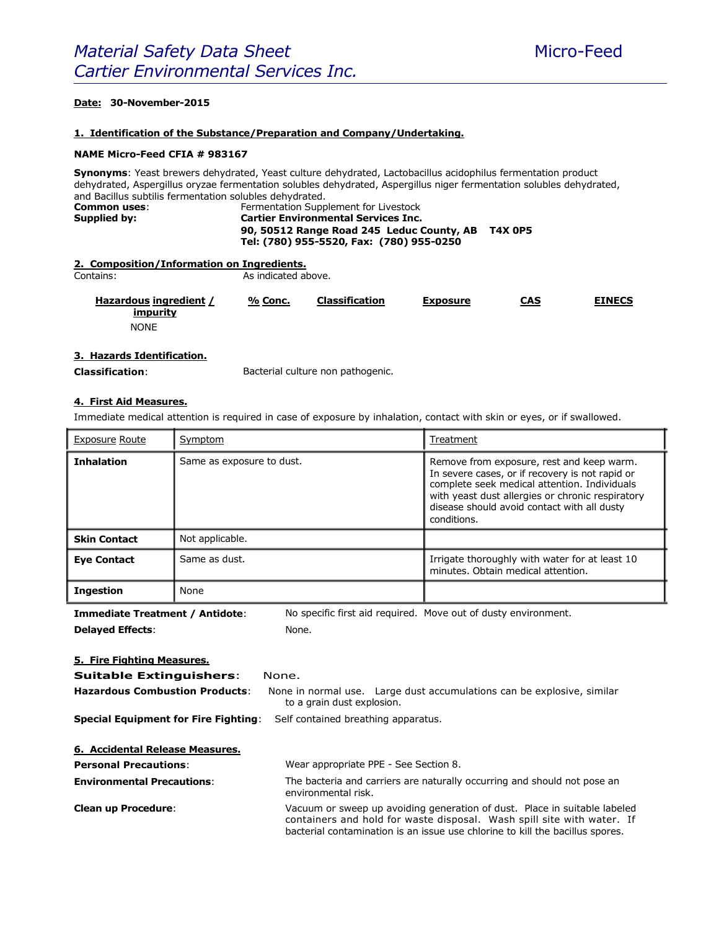# **Date: 30-November-2015**

#### **1. Identification of the Substance/Preparation and Company/Undertaking.**

#### **NAME Micro-Feed CFIA # 983167**

**Synonyms**: Yeast brewers dehydrated, Yeast culture dehydrated, Lactobacillus acidophilus fermentation product dehydrated, Aspergillus oryzae fermentation solubles dehydrated, Aspergillus niger fermentation solubles dehydrated, and Bacillus subtilis fermentation solubles dehydrated. **Common uses**: Fermentation Supplement for Livestock

| Supplied by: | <b>Cartier Environmental Services Inc.</b> |         |
|--------------|--------------------------------------------|---------|
|              | 90, 50512 Range Road 245 Leduc County, AB  | T4X 0P5 |
|              | Tel: (780) 955-5520, Fax: (780) 955-0250   |         |

|  | 2. Composition/Information on Ingredients. |  |
|--|--------------------------------------------|--|
|  |                                            |  |

Contains:

As indicated above.

| Hazardous ingredient /<br>impurity | % Conc. | <b>Classification</b> | Exposure | CAS | <b>EINECS</b> |
|------------------------------------|---------|-----------------------|----------|-----|---------------|
| <b>NONE</b>                        |         |                       |          |     |               |

### **3. Hazards Identification.**

**Classification**:

Bacterial culture non pathogenic.

## **4. First Aid Measures.**

Immediate medical attention is required in case of exposure by inhalation, contact with skin or eyes, or if swallowed.

| <b>Exposure Route</b> | Symptom                   | Treatment                                                                                                                                                                                                                                                      |
|-----------------------|---------------------------|----------------------------------------------------------------------------------------------------------------------------------------------------------------------------------------------------------------------------------------------------------------|
| <b>Inhalation</b>     | Same as exposure to dust. | Remove from exposure, rest and keep warm.<br>In severe cases, or if recovery is not rapid or<br>complete seek medical attention. Individuals<br>with yeast dust allergies or chronic respiratory<br>disease should avoid contact with all dusty<br>conditions. |
| <b>Skin Contact</b>   | Not applicable.           |                                                                                                                                                                                                                                                                |
| <b>Eye Contact</b>    | Same as dust.             | Irrigate thoroughly with water for at least 10<br>minutes. Obtain medical attention.                                                                                                                                                                           |
| <b>Ingestion</b>      | None                      |                                                                                                                                                                                                                                                                |

**Immediate Treatment / Antidote**: **Delayed Effects**: No specific first aid required. Move out of dusty environment. None.

#### **5. Fire Fighting Measures.**

**Suitable Extinguishers:** 

| nn<br>v<br>M. |
|---------------|
|               |

| Hazardous Combustion Products:                                                  | to a grain dust explosion. | None in normal use. Large dust accumulations can be explosive, similar |  |
|---------------------------------------------------------------------------------|----------------------------|------------------------------------------------------------------------|--|
| <b>Special Equipment for Fire Fighting:</b> Self contained breathing apparatus. |                            |                                                                        |  |

| 6. Accidental Release Measures.   |                                                                                                                                                                                                                                      |
|-----------------------------------|--------------------------------------------------------------------------------------------------------------------------------------------------------------------------------------------------------------------------------------|
| <b>Personal Precautions:</b>      | Wear appropriate PPE - See Section 8.                                                                                                                                                                                                |
| <b>Environmental Precautions:</b> | The bacteria and carriers are naturally occurring and should not pose an<br>environmental risk.                                                                                                                                      |
| <b>Clean up Procedure:</b>        | Vacuum or sweep up avoiding generation of dust. Place in suitable labeled<br>containers and hold for waste disposal. Wash spill site with water. If<br>bacterial contamination is an issue use chlorine to kill the bacillus spores. |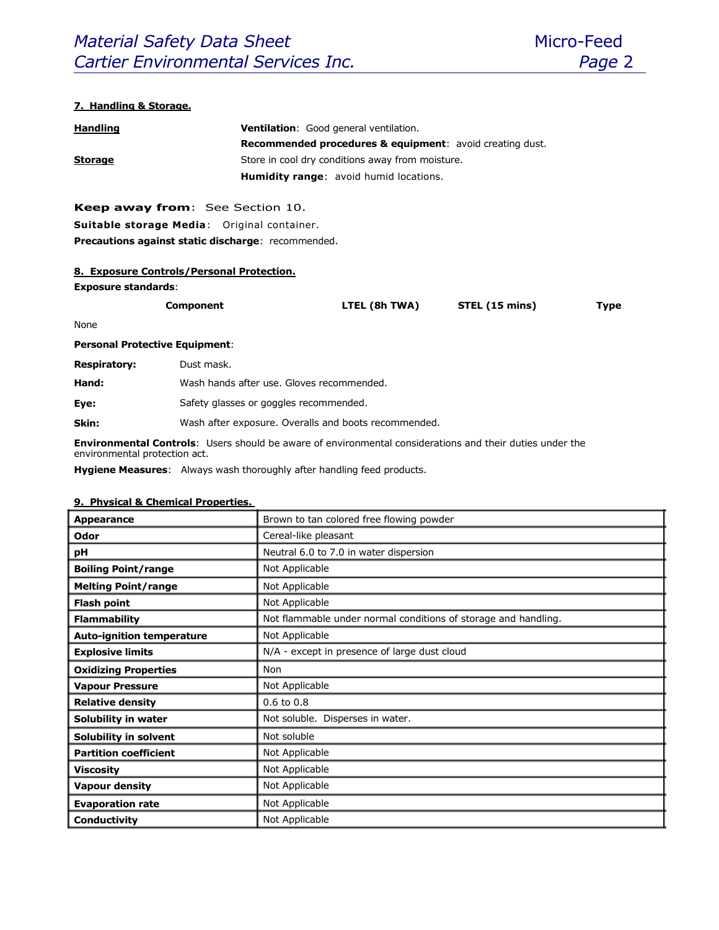# **7. Handling & Storage.**

| <b>Handling</b> | <b>Ventilation:</b> Good general ventilation.                       |  |  |
|-----------------|---------------------------------------------------------------------|--|--|
|                 | <b>Recommended procedures &amp; equipment:</b> avoid creating dust. |  |  |
| <b>Storage</b>  | Store in cool dry conditions away from moisture.                    |  |  |
|                 | <b>Humidity range:</b> avoid humid locations.                       |  |  |

**Keep away from**: See Section 10. **Suitable storage Media**: Original container. **Precautions against static discharge**: recommended.

## **8. Exposure Controls/Personal Protection.**

**Exposure standards**:

| Component | LTEL (8h TWA) | STEL (15 mins) | Type |
|-----------|---------------|----------------|------|
|           |               |                |      |

None

### **Personal Protective Equipment**:

| <b>Respiratory:</b> | Dust mask.                                |
|---------------------|-------------------------------------------|
| Hand:               | Wash hands after use. Gloves recommended. |
| Eye:                | Safety glasses or goggles recommended.    |
|                     |                                           |

**Skin:** Wash after exposure. Overalls and boots recommended.

**Environmental Controls**: Users should be aware of environmental considerations and their duties under the environmental protection act.

**Hygiene Measures**: Always wash thoroughly after handling feed products.

# **9. Physical & Chemical Properties.**

| Appearance                       | Brown to tan colored free flowing powder                       |  |  |
|----------------------------------|----------------------------------------------------------------|--|--|
| Odor                             | Cereal-like pleasant                                           |  |  |
| pH                               | Neutral 6.0 to 7.0 in water dispersion                         |  |  |
| <b>Boiling Point/range</b>       | Not Applicable                                                 |  |  |
| <b>Melting Point/range</b>       | Not Applicable                                                 |  |  |
| <b>Flash point</b>               | Not Applicable                                                 |  |  |
| <b>Flammability</b>              | Not flammable under normal conditions of storage and handling. |  |  |
| <b>Auto-ignition temperature</b> | Not Applicable                                                 |  |  |
| <b>Explosive limits</b>          | N/A - except in presence of large dust cloud                   |  |  |
| <b>Oxidizing Properties</b>      | Non                                                            |  |  |
| <b>Vapour Pressure</b>           | Not Applicable                                                 |  |  |
| <b>Relative density</b>          | $0.6$ to $0.8$                                                 |  |  |
| Solubility in water              | Not soluble. Disperses in water.                               |  |  |
| Solubility in solvent            | Not soluble                                                    |  |  |
| <b>Partition coefficient</b>     | Not Applicable                                                 |  |  |
| <b>Viscosity</b>                 | Not Applicable                                                 |  |  |
| <b>Vapour density</b>            | Not Applicable                                                 |  |  |
| <b>Evaporation rate</b>          | Not Applicable                                                 |  |  |
| Conductivity                     | Not Applicable                                                 |  |  |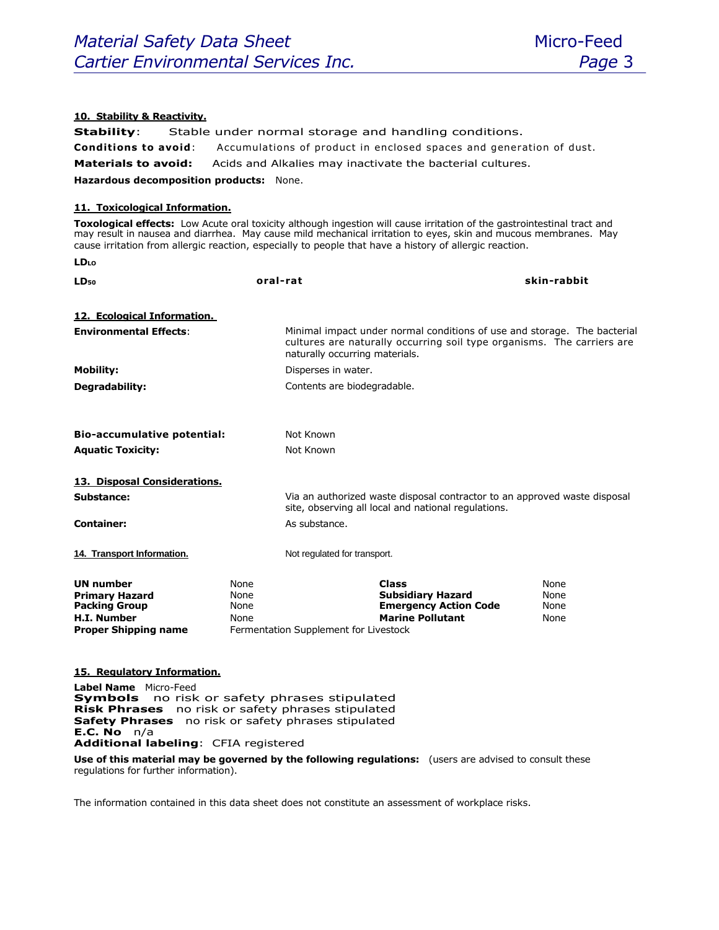# **10. Stability & Reactivity.**

**Stability**: Stable under normal storage and handling conditions. **Conditions to avoid:** Accumulations of product in enclosed spaces and generation of dust. **Materials to avoid:** Acids and Alkalies may inactivate the bacterial cultures. **Hazardous decomposition products:** None.

## **11. Toxicological Information.**

**LDLO**

**Toxological effects:** Low Acute oral toxicity although ingestion will cause irritation of the gastrointestinal tract and may result in nausea and diarrhea. May cause mild mechanical irritation to eyes, skin and mucous membranes. May cause irritation from allergic reaction, especially to people that have a history of allergic reaction.

| LD <sub>50</sub>                                                                                                       | oral-rat                     |                                                                                                                                                                                      | skin-rabbit                  |
|------------------------------------------------------------------------------------------------------------------------|------------------------------|--------------------------------------------------------------------------------------------------------------------------------------------------------------------------------------|------------------------------|
| 12. Ecological Information.<br><b>Environmental Effects:</b>                                                           |                              | Minimal impact under normal conditions of use and storage. The bacterial<br>cultures are naturally occurring soil type organisms. The carriers are<br>naturally occurring materials. |                              |
| <b>Mobility:</b>                                                                                                       |                              | Disperses in water.                                                                                                                                                                  |                              |
| Degradability:                                                                                                         |                              | Contents are biodegradable.                                                                                                                                                          |                              |
|                                                                                                                        |                              |                                                                                                                                                                                      |                              |
| <b>Bio-accumulative potential:</b>                                                                                     |                              | Not Known                                                                                                                                                                            |                              |
| <b>Aquatic Toxicity:</b>                                                                                               |                              | Not Known                                                                                                                                                                            |                              |
| 13. Disposal Considerations.                                                                                           |                              |                                                                                                                                                                                      |                              |
| Substance:                                                                                                             |                              | Via an authorized waste disposal contractor to an approved waste disposal<br>site, observing all local and national regulations.                                                     |                              |
| <b>Container:</b>                                                                                                      |                              | As substance.                                                                                                                                                                        |                              |
| 14. Transport Information.                                                                                             |                              | Not regulated for transport.                                                                                                                                                         |                              |
| <b>UN number</b><br><b>Primary Hazard</b><br><b>Packing Group</b><br><b>H.I. Number</b><br><b>Proper Shipping name</b> | None<br>None<br>None<br>None | <b>Class</b><br><b>Subsidiary Hazard</b><br><b>Emergency Action Code</b><br><b>Marine Pollutant</b><br>Fermentation Supplement for Livestock                                         | None<br>None<br>None<br>None |
| 15. Regulatory Information.                                                                                            |                              |                                                                                                                                                                                      |                              |
| Label Name Micro-Feed<br><b>Symbols</b>                                                                                |                              | no risk or safety phrases stipulated                                                                                                                                                 |                              |

**Risk Phrases** no risk or safety phrases stipulated **Safety Phrases** no risk or safety phrases stipulated **E.C. No** n/a **Additional labeling**: CFIA registered

**Use of this material may be governed by the following regulations:** (users are advised to consult these regulations for further information).

The information contained in this data sheet does not constitute an assessment of workplace risks.